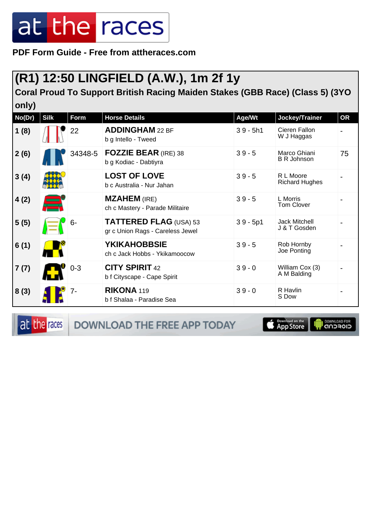**PDF Form Guide - Free from attheraces.com**

### **(R1) 12:50 LINGFIELD (A.W.), 1m 2f 1y**

**Coral Proud To Support British Racing Maiden Stakes (GBB Race) (Class 5) (3YO only)**

| No(Dr) | <b>Silk</b> | Form    | <b>Horse Details</b>                                       | Age/Wt     | Jockey/Trainer                       | <b>OR</b> |
|--------|-------------|---------|------------------------------------------------------------|------------|--------------------------------------|-----------|
| 1(8)   |             | 22      | <b>ADDINGHAM 22 BF</b><br>b g Intello - Tweed              | $39 - 5h1$ | Cieren Fallon<br>W J Haggas          |           |
| 2(6)   |             | 34348-5 | <b>FOZZIE BEAR (IRE) 38</b><br>b g Kodiac - Dabtiyra       | $39 - 5$   | Marco Ghiani<br><b>B R Johnson</b>   | 75        |
| 3(4)   |             |         | <b>LOST OF LOVE</b><br>b c Australia - Nur Jahan           | $39 - 5$   | R L Moore<br><b>Richard Hughes</b>   |           |
| 4(2)   |             |         | <b>MZAHEM</b> (IRE)<br>ch c Mastery - Parade Militaire     | $39 - 5$   | L Morris<br><b>Tom Clover</b>        |           |
| 5(5)   |             | $6-$    | TATTERED FLAG (USA) 53<br>gr c Union Rags - Careless Jewel | $39 - 5p1$ | <b>Jack Mitchell</b><br>J & T Gosden |           |
| 6(1)   |             |         | <b>YKIKAHOBBSIE</b><br>ch c Jack Hobbs - Ykikamoocow       | $39 - 5$   | Rob Hornby<br>Joe Ponting            |           |
| 7(7)   |             | $0 - 3$ | <b>CITY SPIRIT 42</b><br>b f Cityscape - Cape Spirit       | $39 - 0$   | William Cox (3)<br>A M Balding       |           |
| 8(3)   |             | 7-      | <b>RIKONA 119</b><br>b f Shalaa - Paradise Sea             | $39 - 0$   | R Havlin<br>S Dow                    |           |

at the races

**DOWNLOAD THE FREE APP TODAY** 

**S** Download on the

**I DOWNLOAD FOR**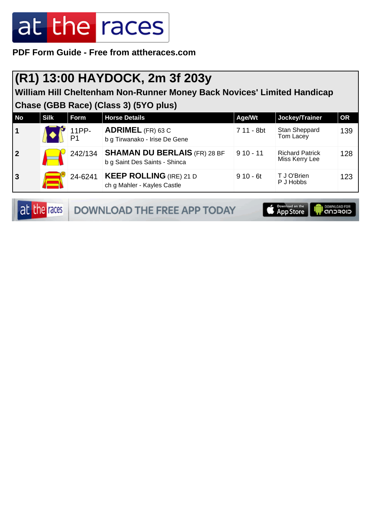**PDF Form Guide - Free from attheraces.com**

#### **(R1) 13:00 HAYDOCK, 2m 3f 203y**

**William Hill Cheltenham Non-Runner Money Back Novices' Limited Handicap Chase (GBB Race) (Class 3) (5YO plus)**

| <b>No</b>      | <b>Silk</b> | <b>Form</b> | <b>Horse Details</b>                                                 | Age/Wt     | Jockey/Trainer                           | <b>OR</b> |
|----------------|-------------|-------------|----------------------------------------------------------------------|------------|------------------------------------------|-----------|
| 1              |             | 11PP-       | <b>ADRIMEL</b> (FR) 63 C<br>b g Tirwanako - Irise De Gene            | 7 11 - 8bt | Stan Sheppard<br>Tom Lacey               | 139       |
| $\overline{2}$ |             | 242/134     | <b>SHAMAN DU BERLAIS (FR) 28 BF</b><br>b g Saint Des Saints - Shinca | $910 - 11$ | <b>Richard Patrick</b><br>Miss Kerry Lee | 128       |
| $\mathbf{3}$   |             | 24-6241     | <b>KEEP ROLLING (IRE) 21 D</b><br>ch g Mahler - Kayles Castle        | $910 - 6t$ | T J O'Brien<br>P J Hobbs                 | 123       |

at the races DOWNLOAD THE FREE APP TODAY **App Store I DOWNLOAD FOR**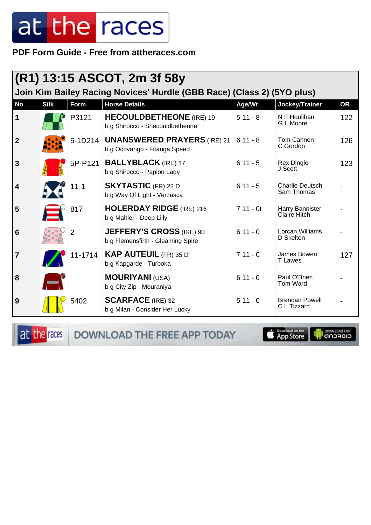**PDF Form Guide - Free from attheraces.com**

| (R1) 13:15 ASCOT, 2m 3f 58y<br>Join Kim Bailey Racing Novices' Hurdle (GBB Race) (Class 2) (5YO plus) |             |                |                                                                            |            |                                      |           |  |
|-------------------------------------------------------------------------------------------------------|-------------|----------------|----------------------------------------------------------------------------|------------|--------------------------------------|-----------|--|
| <b>No</b>                                                                                             | <b>Silk</b> | Form           | <b>Horse Details</b>                                                       | Age/Wt     | Jockey/Trainer                       | <b>OR</b> |  |
| 1                                                                                                     |             | P3121          | <b>HECOULDBETHEONE</b> (IRE) 19<br>b g Shirocco - Shecouldbetheone         | $511 - 8$  | N F Houlihan<br>G L Moore            | 122       |  |
| $\overline{2}$                                                                                        |             |                | 5-1D214 <b>UNANSWERED PRAYERS</b> (IRE) 21<br>b g Ocovango - Fitanga Speed | $611 - 8$  | Tom Cannon<br>C Gordon               | 126       |  |
| $\mathbf{3}$                                                                                          |             | 5P-P121        | <b>BALLYBLACK</b> (IRE) 17<br>b g Shirocco - Papion Lady                   | $611 - 5$  | <b>Rex Dingle</b><br>J Scott         | 123       |  |
| 4                                                                                                     |             | $11 - 1$       | <b>SKYTASTIC</b> (FR) 22 D<br>b g Way Of Light - Verzasca                  | $611 - 5$  | <b>Charlie Deutsch</b><br>Sam Thomas |           |  |
| 5                                                                                                     |             | 817            | <b>HOLERDAY RIDGE</b> (IRE) 216<br>b g Mahler - Deep Lilly                 | $711 - 0t$ | Harry Bannister<br>Claire Hitch      |           |  |
| 6                                                                                                     |             | $\overline{2}$ | <b>JEFFERY'S CROSS (IRE) 90</b><br>b g Flemensfirth - Gleaming Spire       | $611 - 0$  | Lorcan Williams<br>D Skelton         |           |  |
| $\overline{7}$                                                                                        |             | 11-1714        | <b>KAP AUTEUIL</b> (FR) 35 D<br>b g Kapgarde - Turboka                     | $711 - 0$  | James Bowen<br><b>T</b> Lawes        | 127       |  |
| 8                                                                                                     | E           |                | <b>MOURIYANI (USA)</b><br>b g City Zip - Mouraniya                         | $611 - 0$  | Paul O'Brien<br>Tom Ward             |           |  |
| 9                                                                                                     |             | 5402           | <b>SCARFACE</b> (IRE) 32<br>b g Milan - Consider Her Lucky                 | $511 - 0$  | <b>Brendan Powell</b><br>C L Tizzard |           |  |

at the races

DOWNLOAD THE FREE APP TODAY